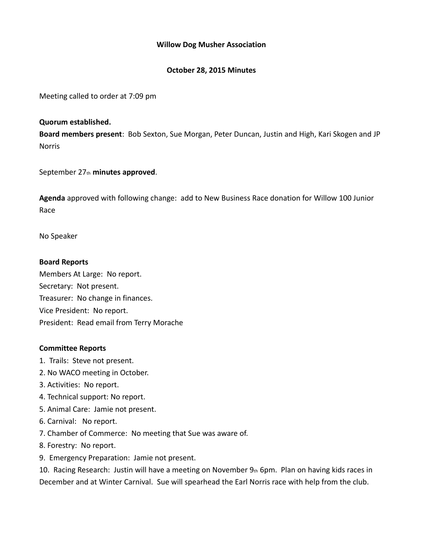## **Willow Dog Musher Association**

## **October 28, 2015 Minutes**

Meeting called to order at 7:09 pm

## **Quorum established.**

**Board members present**: Bob Sexton, Sue Morgan, Peter Duncan, Justin and High, Kari Skogen and JP Norris

September 27th **minutes approved**.

**Agenda** approved with following change: add to New Business Race donation for Willow 100 Junior Race

No Speaker

## **Board Reports**

Members At Large: No report. Secretary: Not present. Treasurer: No change in finances. Vice President: No report. President: Read email from Terry Morache

#### **Committee Reports**

- 1. Trails: Steve not present.
- 2. No WACO meeting in October.
- 3. Activities: No report.
- 4. Technical support: No report.
- 5. Animal Care: Jamie not present.
- 6. Carnival: No report.
- 7. Chamber of Commerce: No meeting that Sue was aware of.
- 8. Forestry: No report.
- 9. Emergency Preparation: Jamie not present.

10. Racing Research: Justin will have a meeting on November 9th 6pm. Plan on having kids races in December and at Winter Carnival. Sue will spearhead the Earl Norris race with help from the club.